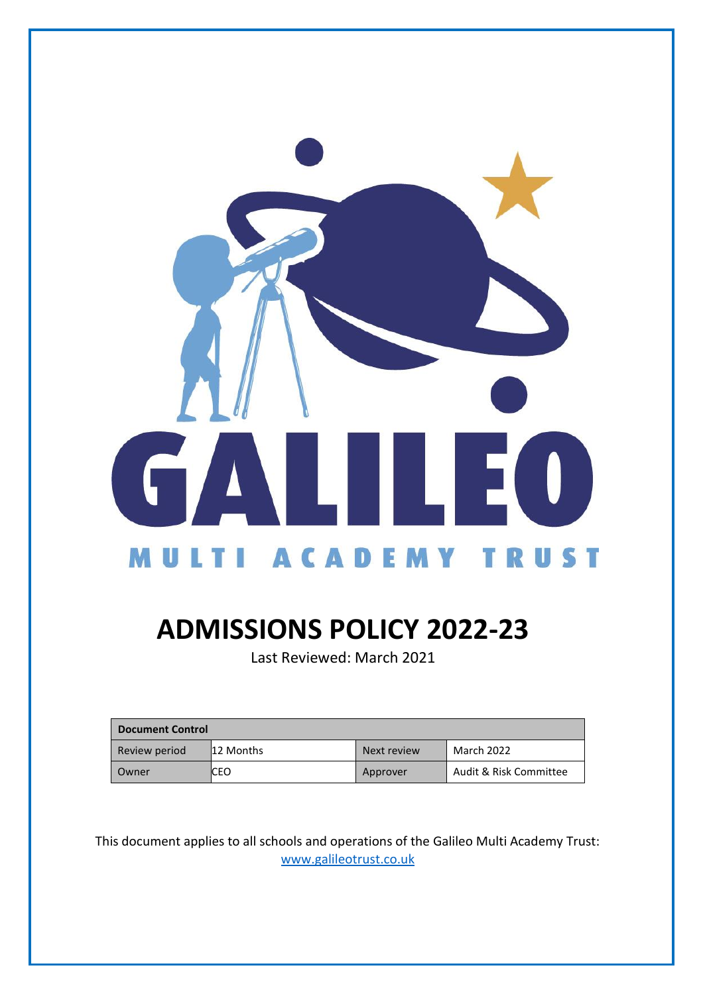

# **ADMISSIONS POLICY 2022-23**

Last Reviewed: March 2021

| <b>Document Control</b> |           |             |                        |
|-------------------------|-----------|-------------|------------------------|
| Review period           | 12 Months | Next review | March 2022             |
| Owner                   | ICEO      | Approver    | Audit & Risk Committee |

This document applies to all schools and operations of the Galileo Multi Academy Trust: [www.galileotrust.co.uk](http://www.galileotrust.co.uk/)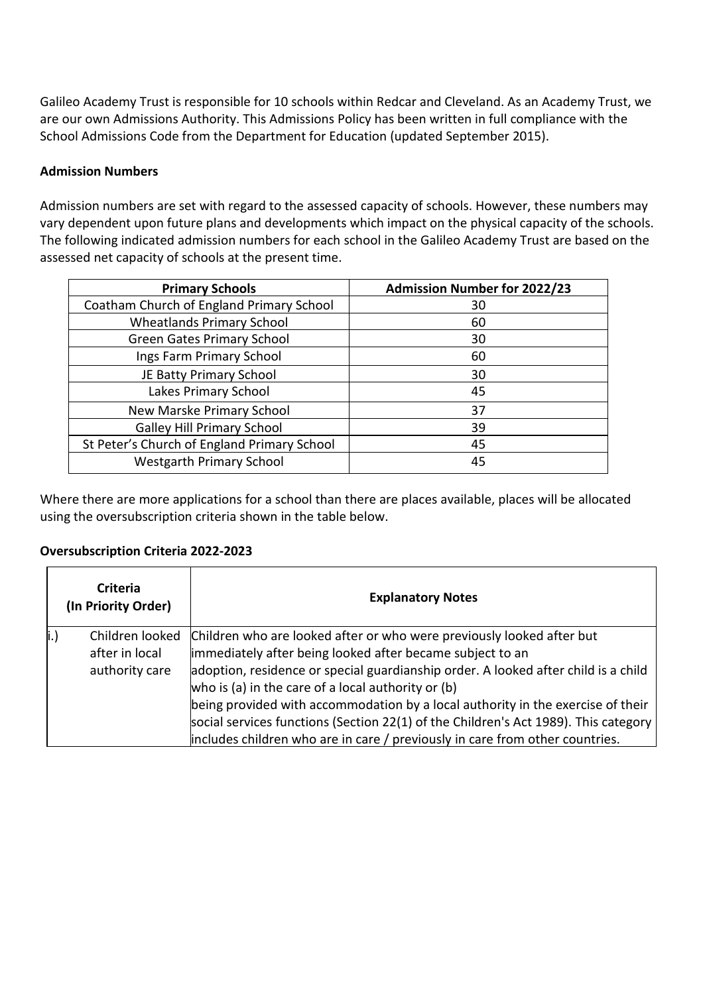Galileo Academy Trust is responsible for 10 schools within Redcar and Cleveland. As an Academy Trust, we are our own Admissions Authority. This Admissions Policy has been written in full compliance with the School Admissions Code from the Department for Education (updated September 2015).

# **Admission Numbers**

Admission numbers are set with regard to the assessed capacity of schools. However, these numbers may vary dependent upon future plans and developments which impact on the physical capacity of the schools. The following indicated admission numbers for each school in the Galileo Academy Trust are based on the assessed net capacity of schools at the present time.

| <b>Primary Schools</b>                      | <b>Admission Number for 2022/23</b> |
|---------------------------------------------|-------------------------------------|
| Coatham Church of England Primary School    | 30                                  |
| <b>Wheatlands Primary School</b>            | 60                                  |
| <b>Green Gates Primary School</b>           | 30                                  |
| Ings Farm Primary School                    | 60                                  |
| JE Batty Primary School                     | 30                                  |
| Lakes Primary School                        | 45                                  |
| New Marske Primary School                   | 37                                  |
| <b>Galley Hill Primary School</b>           | 39                                  |
| St Peter's Church of England Primary School | 45                                  |
| <b>Westgarth Primary School</b>             | 45                                  |

Where there are more applications for a school than there are places available, places will be allocated using the oversubscription criteria shown in the table below.

## **Oversubscription Criteria 2022-2023**

|      | <b>Criteria</b><br>(In Priority Order) | <b>Explanatory Notes</b>                                                                                                                 |  |
|------|----------------------------------------|------------------------------------------------------------------------------------------------------------------------------------------|--|
| li.) | Children looked<br>after in local      | Children who are looked after or who were previously looked after but<br>immediately after being looked after became subject to an       |  |
|      | authority care                         | adoption, residence or special guardianship order. A looked after child is a child<br>who is (a) in the care of a local authority or (b) |  |
|      |                                        | being provided with accommodation by a local authority in the exercise of their                                                          |  |
|      |                                        | social services functions (Section 22(1) of the Children's Act 1989). This category                                                      |  |
|      |                                        | includes children who are in care / previously in care from other countries.                                                             |  |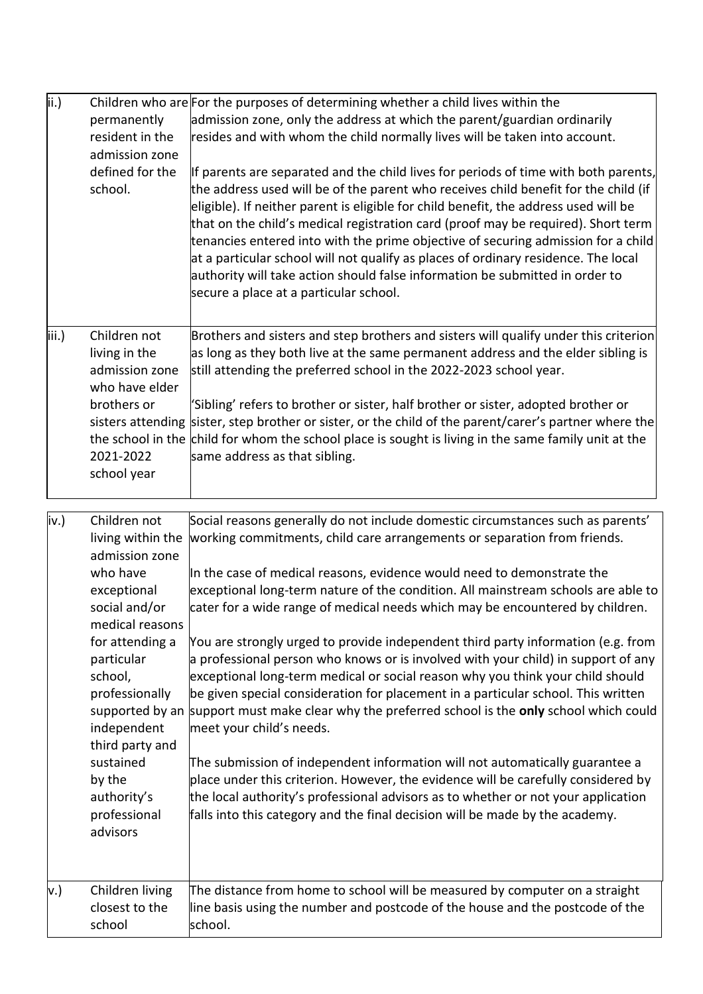| ii.)  | permanently<br>resident in the<br>admission zone<br>defined for the<br>school.                                                                                                                                                                                                       | Children who are For the purposes of determining whether a child lives within the<br>admission zone, only the address at which the parent/guardian ordinarily<br>resides and with whom the child normally lives will be taken into account.<br>If parents are separated and the child lives for periods of time with both parents,<br>the address used will be of the parent who receives child benefit for the child (if<br>eligible). If neither parent is eligible for child benefit, the address used will be<br>that on the child's medical registration card (proof may be required). Short term<br>tenancies entered into with the prime objective of securing admission for a child<br>at a particular school will not qualify as places of ordinary residence. The local<br>authority will take action should false information be submitted in order to<br>secure a place at a particular school.                                                                                                                                                                                                                                                                                                                          |
|-------|--------------------------------------------------------------------------------------------------------------------------------------------------------------------------------------------------------------------------------------------------------------------------------------|--------------------------------------------------------------------------------------------------------------------------------------------------------------------------------------------------------------------------------------------------------------------------------------------------------------------------------------------------------------------------------------------------------------------------------------------------------------------------------------------------------------------------------------------------------------------------------------------------------------------------------------------------------------------------------------------------------------------------------------------------------------------------------------------------------------------------------------------------------------------------------------------------------------------------------------------------------------------------------------------------------------------------------------------------------------------------------------------------------------------------------------------------------------------------------------------------------------------------------------|
| iii.) | Children not<br>living in the<br>admission zone<br>who have elder<br>brothers or<br>2021-2022<br>school year                                                                                                                                                                         | Brothers and sisters and step brothers and sisters will qualify under this criterion<br>as long as they both live at the same permanent address and the elder sibling is<br>still attending the preferred school in the 2022-2023 school year.<br>'Sibling' refers to brother or sister, half brother or sister, adopted brother or<br>sisters attending sister, step brother or sister, or the child of the parent/carer's partner where the<br>the school in the child for whom the school place is sought is living in the same family unit at the<br>same address as that sibling.                                                                                                                                                                                                                                                                                                                                                                                                                                                                                                                                                                                                                                               |
| iv.)  | Children not<br>living within the<br>admission zone<br>who have<br>exceptional<br>social and/or<br>medical reasons<br>for attending a<br>particular<br>school,<br>professionally<br>independent<br>third party and<br>sustained<br>by the<br>authority's<br>professional<br>advisors | Social reasons generally do not include domestic circumstances such as parents'<br>working commitments, child care arrangements or separation from friends.<br>In the case of medical reasons, evidence would need to demonstrate the<br>exceptional long-term nature of the condition. All mainstream schools are able to<br>cater for a wide range of medical needs which may be encountered by children.<br>You are strongly urged to provide independent third party information (e.g. from<br>a professional person who knows or is involved with your child) in support of any<br>exceptional long-term medical or social reason why you think your child should<br>be given special consideration for placement in a particular school. This written<br>supported by an support must make clear why the preferred school is the only school which could<br>meet your child's needs.<br>The submission of independent information will not automatically guarantee a<br>place under this criterion. However, the evidence will be carefully considered by<br>the local authority's professional advisors as to whether or not your application<br>falls into this category and the final decision will be made by the academy. |
| v.)   | Children living<br>closest to the<br>school                                                                                                                                                                                                                                          | The distance from home to school will be measured by computer on a straight<br>line basis using the number and postcode of the house and the postcode of the<br>school.                                                                                                                                                                                                                                                                                                                                                                                                                                                                                                                                                                                                                                                                                                                                                                                                                                                                                                                                                                                                                                                              |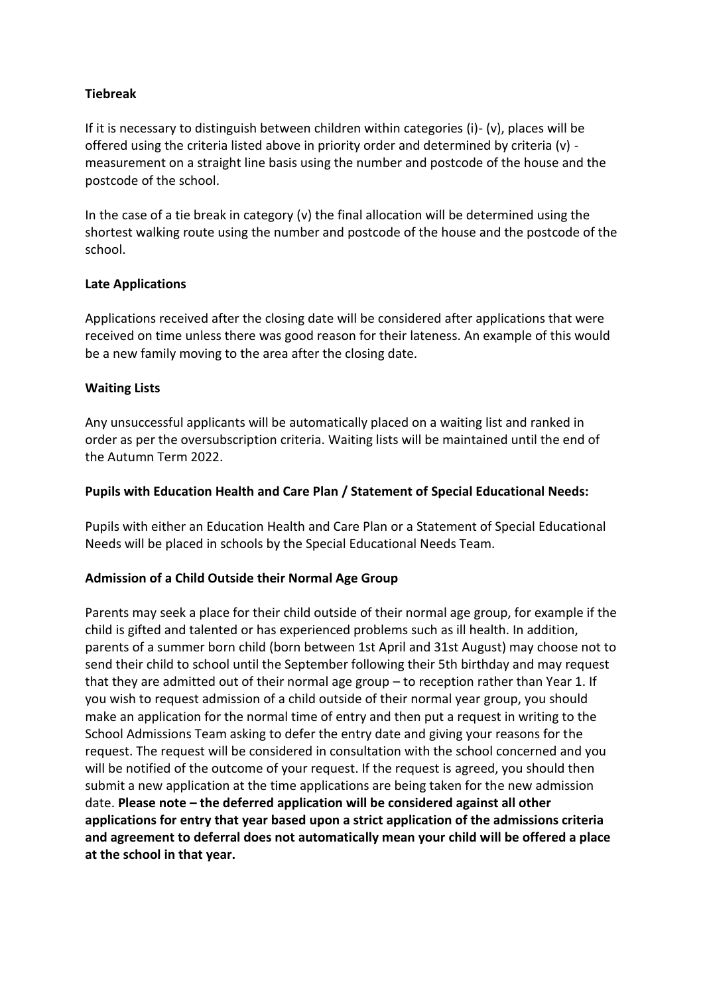## **Tiebreak**

If it is necessary to distinguish between children within categories (i)- (v), places will be offered using the criteria listed above in priority order and determined by criteria (v) measurement on a straight line basis using the number and postcode of the house and the postcode of the school.

In the case of a tie break in category (v) the final allocation will be determined using the shortest walking route using the number and postcode of the house and the postcode of the school.

#### **Late Applications**

Applications received after the closing date will be considered after applications that were received on time unless there was good reason for their lateness. An example of this would be a new family moving to the area after the closing date.

## **Waiting Lists**

Any unsuccessful applicants will be automatically placed on a waiting list and ranked in order as per the oversubscription criteria. Waiting lists will be maintained until the end of the Autumn Term 2022.

#### **Pupils with Education Health and Care Plan / Statement of Special Educational Needs:**

Pupils with either an Education Health and Care Plan or a Statement of Special Educational Needs will be placed in schools by the Special Educational Needs Team.

#### **Admission of a Child Outside their Normal Age Group**

Parents may seek a place for their child outside of their normal age group, for example if the child is gifted and talented or has experienced problems such as ill health. In addition, parents of a summer born child (born between 1st April and 31st August) may choose not to send their child to school until the September following their 5th birthday and may request that they are admitted out of their normal age group – to reception rather than Year 1. If you wish to request admission of a child outside of their normal year group, you should make an application for the normal time of entry and then put a request in writing to the School Admissions Team asking to defer the entry date and giving your reasons for the request. The request will be considered in consultation with the school concerned and you will be notified of the outcome of your request. If the request is agreed, you should then submit a new application at the time applications are being taken for the new admission date. **Please note – the deferred application will be considered against all other applications for entry that year based upon a strict application of the admissions criteria and agreement to deferral does not automatically mean your child will be offered a place at the school in that year.**